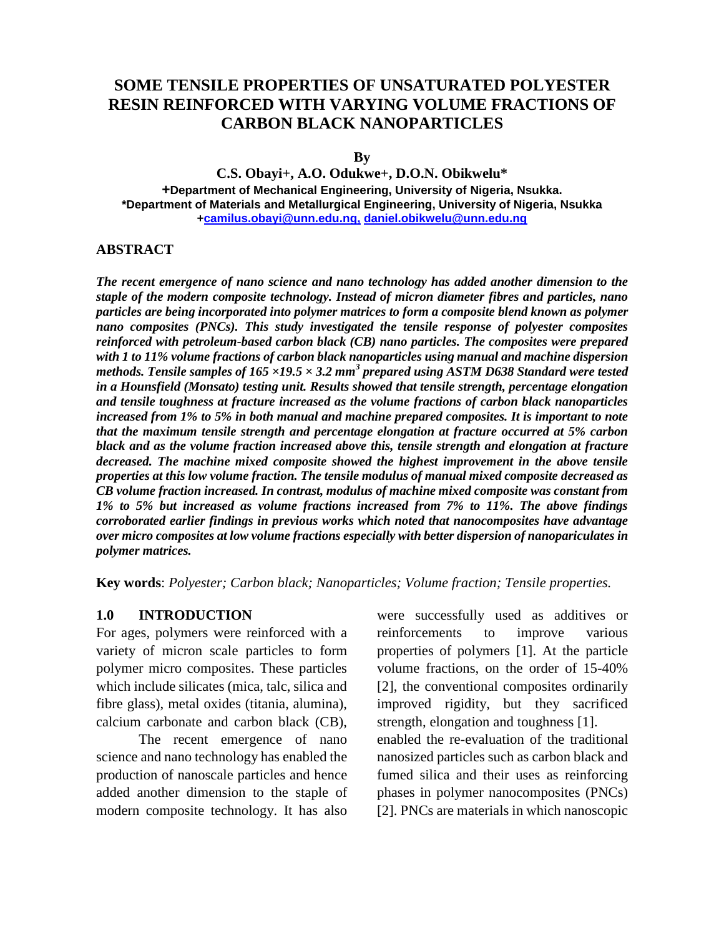# **SOME TENSILE PROPERTIES OF UNSATURATED POLYESTER RESIN REINFORCED WITH VARYING VOLUME FRACTIONS OF CARBON BLACK NANOPARTICLES**

**By**

**C.S. Obayi+, A.O. Odukwe+, D.O.N. Obikwelu\* +Department of Mechanical Engineering, University of Nigeria, Nsukka. \*Department of Materials and Metallurgical Engineering, University of Nigeria, Nsukka [+camilus.obayi@unn.edu.ng,](mailto:camilus.obayi@unn.edu.ng,) [daniel.obikwelu@unn.edu.ng](mailto:*daniel.obikwelu@unn.edu.ng)**

#### **ABSTRACT**

*The recent emergence of nano science and nano technology has added another dimension to the staple of the modern composite technology. Instead of micron diameter fibres and particles, nano particles are being incorporated into polymer matrices to form a composite blend known as polymer nano composites (PNCs). This study investigated the tensile response of polyester composites reinforced with petroleum-based carbon black (CB) nano particles. The composites were prepared with 1 to 11% volume fractions of carbon black nanoparticles using manual and machine dispersion methods. Tensile samples of 165 ×19.5 × 3.2 mm<sup>3</sup> prepared using ASTM D638 Standard were tested in a Hounsfield (Monsato) testing unit. Results showed that tensile strength, percentage elongation and tensile toughness at fracture increased as the volume fractions of carbon black nanoparticles increased from 1% to 5% in both manual and machine prepared composites. It is important to note that the maximum tensile strength and percentage elongation at fracture occurred at 5% carbon black and as the volume fraction increased above this, tensile strength and elongation at fracture decreased. The machine mixed composite showed the highest improvement in the above tensile properties at this low volume fraction. The tensile modulus of manual mixed composite decreased as CB volume fraction increased. In contrast, modulus of machine mixed composite was constant from 1% to 5% but increased as volume fractions increased from 7% to 11%. The above findings corroborated earlier findings in previous works which noted that nanocomposites have advantage over micro composites at low volume fractions especially with better dispersion of nanopariculates in polymer matrices.*

**Key words**: *Polyester; Carbon black; Nanoparticles; Volume fraction; Tensile properties.*

#### **1.0 INTRODUCTION**

For ages, polymers were reinforced with a variety of micron scale particles to form polymer micro composites. These particles which include silicates (mica, talc, silica and fibre glass), metal oxides (titania, alumina), calcium carbonate and carbon black (CB),

The recent emergence of nano science and nano technology has enabled the production of nanoscale particles and hence added another dimension to the staple of modern composite technology. It has also were successfully used as additives or reinforcements to improve various properties of polymers [1]. At the particle volume fractions, on the order of 15-40% [2], the conventional composites ordinarily improved rigidity, but they sacrificed strength, elongation and toughness [1]. enabled the re-evaluation of the traditional nanosized particles such as carbon black and fumed silica and their uses as reinforcing phases in polymer nanocomposites (PNCs) [2]. PNCs are materials in which nanoscopic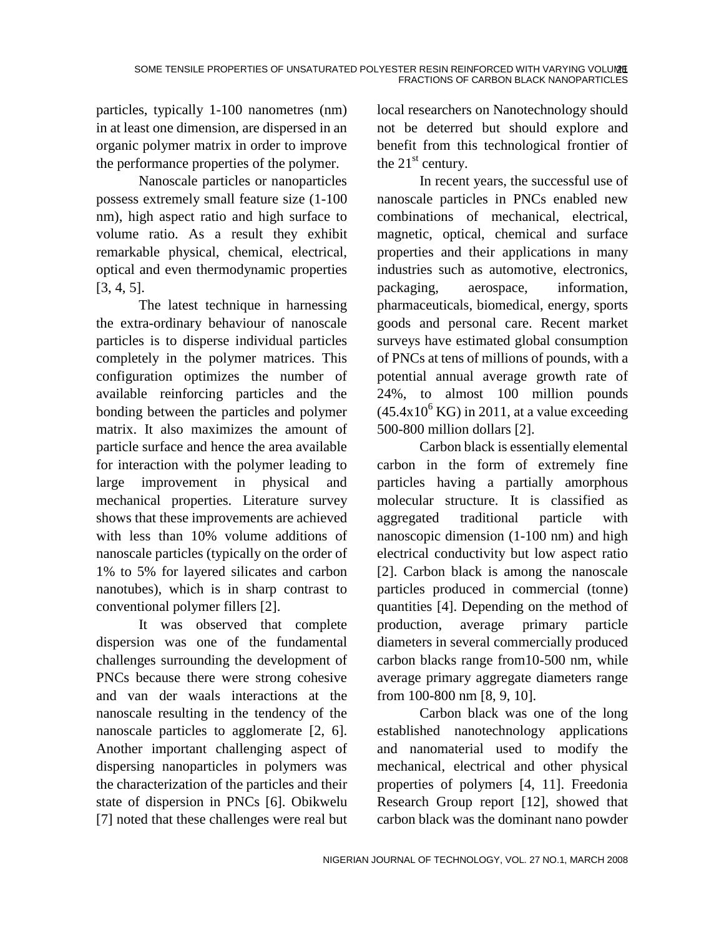particles, typically 1-100 nanometres (nm) in at least one dimension, are dispersed in an organic polymer matrix in order to improve the performance properties of the polymer.

Nanoscale particles or nanoparticles possess extremely small feature size (1-100 nm), high aspect ratio and high surface to volume ratio. As a result they exhibit remarkable physical, chemical, electrical, optical and even thermodynamic properties [3, 4, 5].

The latest technique in harnessing the extra-ordinary behaviour of nanoscale particles is to disperse individual particles completely in the polymer matrices. This configuration optimizes the number of available reinforcing particles and the bonding between the particles and polymer matrix. It also maximizes the amount of particle surface and hence the area available for interaction with the polymer leading to large improvement in physical and mechanical properties. Literature survey shows that these improvements are achieved with less than 10% volume additions of nanoscale particles (typically on the order of 1% to 5% for layered silicates and carbon nanotubes), which is in sharp contrast to conventional polymer fillers [2].

It was observed that complete dispersion was one of the fundamental challenges surrounding the development of PNCs because there were strong cohesive and van der waals interactions at the nanoscale resulting in the tendency of the nanoscale particles to agglomerate [2, 6]. Another important challenging aspect of dispersing nanoparticles in polymers was the characterization of the particles and their state of dispersion in PNCs [6]. Obikwelu [7] noted that these challenges were real but local researchers on Nanotechnology should not be deterred but should explore and benefit from this technological frontier of the  $21<sup>st</sup>$  century.

In recent years, the successful use of nanoscale particles in PNCs enabled new combinations of mechanical, electrical, magnetic, optical, chemical and surface properties and their applications in many industries such as automotive, electronics, packaging, aerospace, information, pharmaceuticals, biomedical, energy, sports goods and personal care. Recent market surveys have estimated global consumption of PNCs at tens of millions of pounds, with a potential annual average growth rate of 24%, to almost 100 million pounds  $(45.4x10<sup>6</sup>$  KG) in 2011, at a value exceeding 500-800 million dollars [2].

Carbon black is essentially elemental carbon in the form of extremely fine particles having a partially amorphous molecular structure. It is classified as aggregated traditional particle with nanoscopic dimension (1-100 nm) and high electrical conductivity but low aspect ratio [2]. Carbon black is among the nanoscale particles produced in commercial (tonne) quantities [4]. Depending on the method of production, average primary particle diameters in several commercially produced carbon blacks range from10-500 nm, while average primary aggregate diameters range from 100-800 nm [8, 9, 10].

Carbon black was one of the long established nanotechnology applications and nanomaterial used to modify the mechanical, electrical and other physical properties of polymers [4, 11]. Freedonia Research Group report [12], showed that carbon black was the dominant nano powder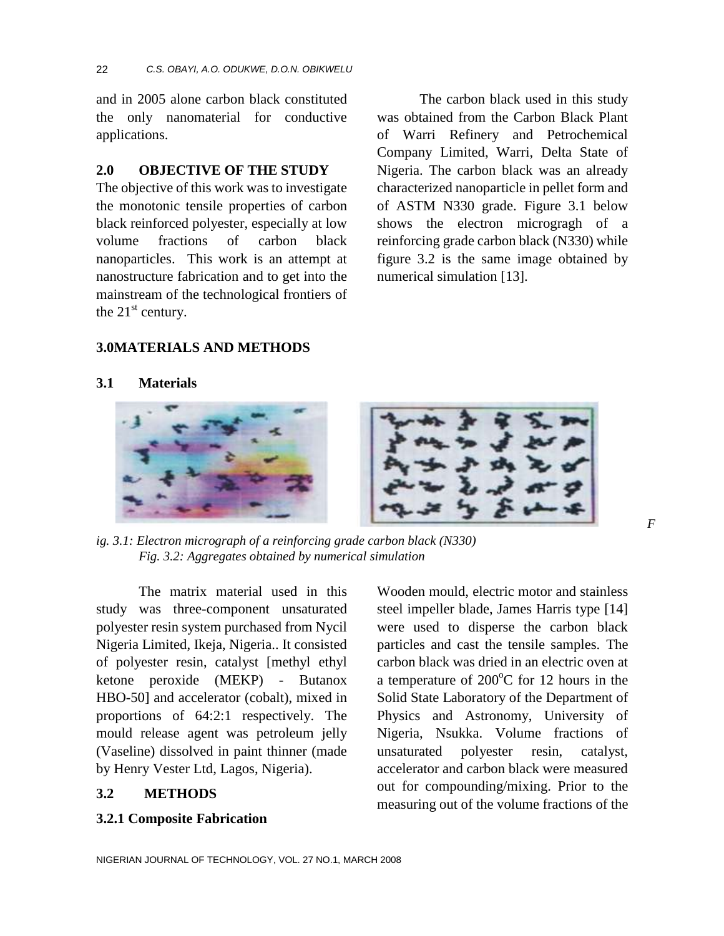and in 2005 alone carbon black constituted the only nanomaterial for conductive applications.

#### **2.0 OBJECTIVE OF THE STUDY**

The objective of this work was to investigate the monotonic tensile properties of carbon black reinforced polyester, especially at low volume fractions of carbon black nanoparticles. This work is an attempt at nanostructure fabrication and to get into the mainstream of the technological frontiers of the  $21<sup>st</sup>$  century.

The carbon black used in this study was obtained from the Carbon Black Plant of Warri Refinery and Petrochemical Company Limited, Warri, Delta State of Nigeria. The carbon black was an already characterized nanoparticle in pellet form and of ASTM N330 grade. Figure 3.1 below shows the electron microgragh of a reinforcing grade carbon black (N330) while figure 3.2 is the same image obtained by numerical simulation [13].

### **3.0MATERIALS AND METHODS**

### **3.1 Materials**



*ig. 3.1: Electron micrograph of a reinforcing grade carbon black (N330) Fig. 3.2: Aggregates obtained by numerical simulation*

The matrix material used in this study was three-component unsaturated polyester resin system purchased from Nycil Nigeria Limited, Ikeja, Nigeria.. It consisted of polyester resin, catalyst [methyl ethyl ketone peroxide (MEKP) - Butanox HBO-50] and accelerator (cobalt), mixed in proportions of 64:2:1 respectively. The mould release agent was petroleum jelly (Vaseline) dissolved in paint thinner (made by Henry Vester Ltd, Lagos, Nigeria).

### **3.2 METHODS**

**3.2.1 Composite Fabrication**

Wooden mould, electric motor and stainless steel impeller blade, James Harris type [14] were used to disperse the carbon black particles and cast the tensile samples. The carbon black was dried in an electric oven at a temperature of  $200^{\circ}$ C for 12 hours in the Solid State Laboratory of the Department of Physics and Astronomy, University of Nigeria, Nsukka. Volume fractions of unsaturated polyester resin, catalyst, accelerator and carbon black were measured out for compounding/mixing. Prior to the measuring out of the volume fractions of the *F*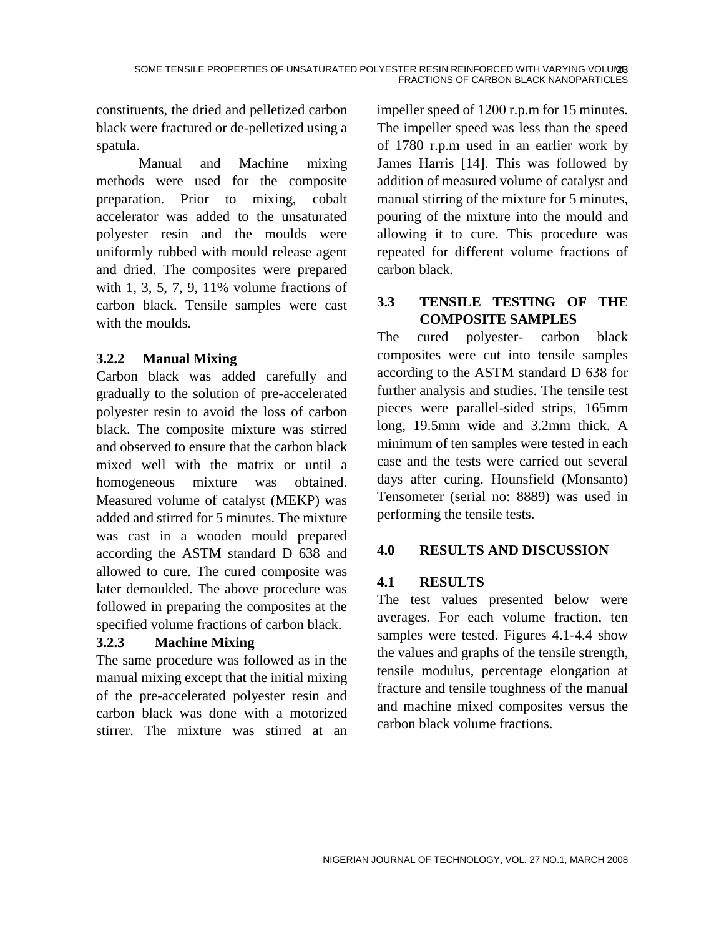constituents, the dried and pelletized carbon black were fractured or de-pelletized using a spatula.

Manual and Machine mixing methods were used for the composite preparation. Prior to mixing, cobalt accelerator was added to the unsaturated polyester resin and the moulds were uniformly rubbed with mould release agent and dried. The composites were prepared with 1, 3, 5, 7, 9, 11% volume fractions of carbon black. Tensile samples were cast with the moulds.

# **3.2.2 Manual Mixing**

Carbon black was added carefully and gradually to the solution of pre-accelerated polyester resin to avoid the loss of carbon black. The composite mixture was stirred and observed to ensure that the carbon black mixed well with the matrix or until a homogeneous mixture was obtained. Measured volume of catalyst (MEKP) was added and stirred for 5 minutes. The mixture was cast in a wooden mould prepared according the ASTM standard D 638 and allowed to cure. The cured composite was later demoulded. The above procedure was followed in preparing the composites at the specified volume fractions of carbon black.

# **3.2.3 Machine Mixing**

The same procedure was followed as in the manual mixing except that the initial mixing of the pre-accelerated polyester resin and carbon black was done with a motorized stirrer. The mixture was stirred at an

impeller speed of 1200 r.p.m for 15 minutes. The impeller speed was less than the speed of 1780 r.p.m used in an earlier work by James Harris [14]. This was followed by addition of measured volume of catalyst and manual stirring of the mixture for 5 minutes, pouring of the mixture into the mould and allowing it to cure. This procedure was repeated for different volume fractions of carbon black.

# **3.3 TENSILE TESTING OF THE COMPOSITE SAMPLES**

The cured polyester- carbon black composites were cut into tensile samples according to the ASTM standard D 638 for further analysis and studies. The tensile test pieces were parallel-sided strips, 165mm long, 19.5mm wide and 3.2mm thick. A minimum of ten samples were tested in each case and the tests were carried out several days after curing. Hounsfield (Monsanto) Tensometer (serial no: 8889) was used in performing the tensile tests.

# **4.0 RESULTS AND DISCUSSION**

## **4.1 RESULTS**

The test values presented below were averages. For each volume fraction, ten samples were tested. Figures 4.1-4.4 show the values and graphs of the tensile strength, tensile modulus, percentage elongation at fracture and tensile toughness of the manual and machine mixed composites versus the carbon black volume fractions.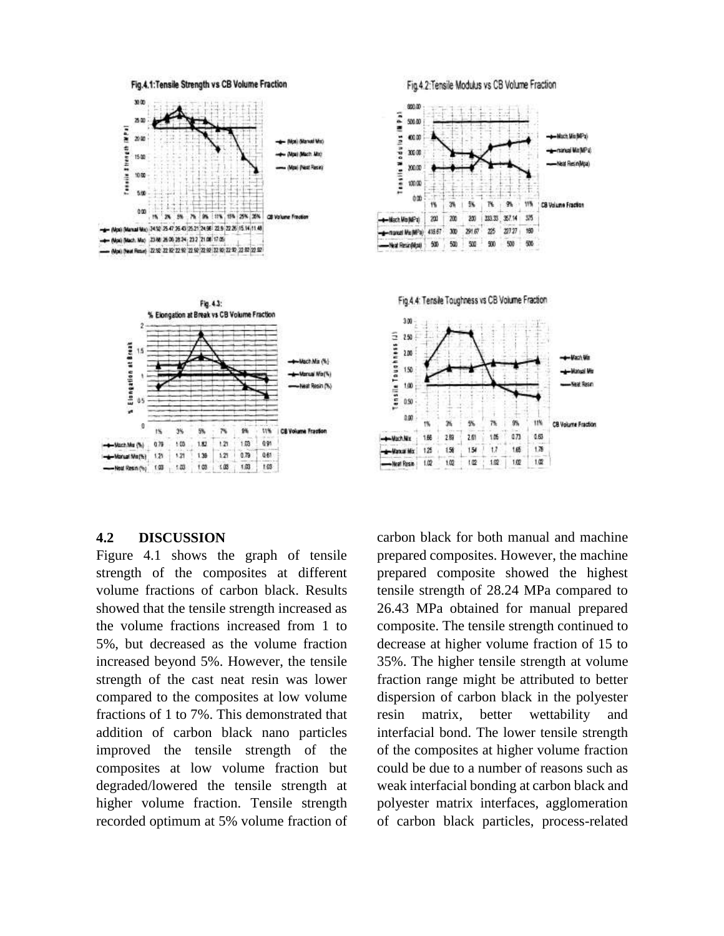

#### **4.2 DISCUSSION**

Figure 4.1 shows the graph of tensile strength of the composites at different volume fractions of carbon black. Results showed that the tensile strength increased as the volume fractions increased from 1 to 5%, but decreased as the volume fraction increased beyond 5%. However, the tensile strength of the cast neat resin was lower compared to the composites at low volume fractions of 1 to 7%. This demonstrated that addition of carbon black nano particles improved the tensile strength of the composites at low volume fraction but degraded/lowered the tensile strength at higher volume fraction. Tensile strength recorded optimum at 5% volume fraction of carbon black for both manual and machine prepared composites. However, the machine prepared composite showed the highest tensile strength of 28.24 MPa compared to 26.43 MPa obtained for manual prepared composite. The tensile strength continued to decrease at higher volume fraction of 15 to 35%. The higher tensile strength at volume fraction range might be attributed to better dispersion of carbon black in the polyester resin matrix, better wettability and interfacial bond. The lower tensile strength of the composites at higher volume fraction could be due to a number of reasons such as weak interfacial bonding at carbon black and polyester matrix interfaces, agglomeration of carbon black particles, process-related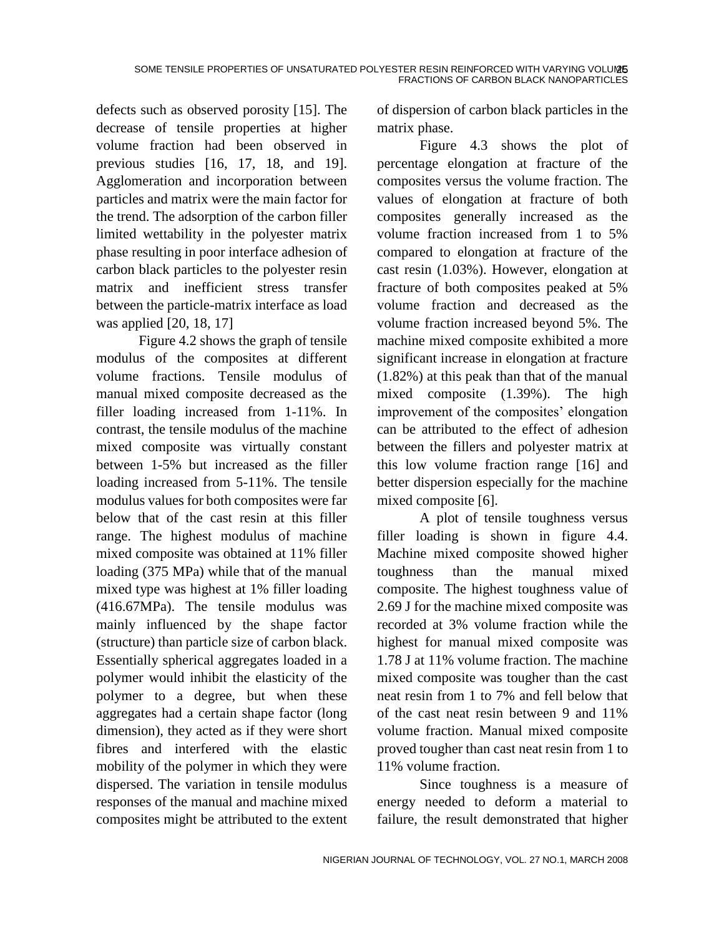defects such as observed porosity [15]. The decrease of tensile properties at higher volume fraction had been observed in previous studies [16, 17, 18, and 19]. Agglomeration and incorporation between particles and matrix were the main factor for the trend. The adsorption of the carbon filler limited wettability in the polyester matrix phase resulting in poor interface adhesion of carbon black particles to the polyester resin matrix and inefficient stress transfer between the particle-matrix interface as load was applied [20, 18, 17]

Figure 4.2 shows the graph of tensile modulus of the composites at different volume fractions. Tensile modulus of manual mixed composite decreased as the filler loading increased from 1-11%. In contrast, the tensile modulus of the machine mixed composite was virtually constant between 1-5% but increased as the filler loading increased from 5-11%. The tensile modulus values for both composites were far below that of the cast resin at this filler range. The highest modulus of machine mixed composite was obtained at 11% filler loading (375 MPa) while that of the manual mixed type was highest at 1% filler loading (416.67MPa). The tensile modulus was mainly influenced by the shape factor (structure) than particle size of carbon black. Essentially spherical aggregates loaded in a polymer would inhibit the elasticity of the polymer to a degree, but when these aggregates had a certain shape factor (long dimension), they acted as if they were short fibres and interfered with the elastic mobility of the polymer in which they were dispersed. The variation in tensile modulus responses of the manual and machine mixed composites might be attributed to the extent

of dispersion of carbon black particles in the matrix phase.

Figure 4.3 shows the plot of percentage elongation at fracture of the composites versus the volume fraction. The values of elongation at fracture of both composites generally increased as the volume fraction increased from 1 to 5% compared to elongation at fracture of the cast resin (1.03%). However, elongation at fracture of both composites peaked at 5% volume fraction and decreased as the volume fraction increased beyond 5%. The machine mixed composite exhibited a more significant increase in elongation at fracture (1.82%) at this peak than that of the manual mixed composite (1.39%). The high improvement of the composites' elongation can be attributed to the effect of adhesion between the fillers and polyester matrix at this low volume fraction range [16] and better dispersion especially for the machine mixed composite [6].

A plot of tensile toughness versus filler loading is shown in figure 4.4. Machine mixed composite showed higher toughness than the manual mixed composite. The highest toughness value of 2.69 J for the machine mixed composite was recorded at 3% volume fraction while the highest for manual mixed composite was 1.78 J at 11% volume fraction. The machine mixed composite was tougher than the cast neat resin from 1 to 7% and fell below that of the cast neat resin between 9 and 11% volume fraction. Manual mixed composite proved tougher than cast neat resin from 1 to 11% volume fraction.

Since toughness is a measure of energy needed to deform a material to failure, the result demonstrated that higher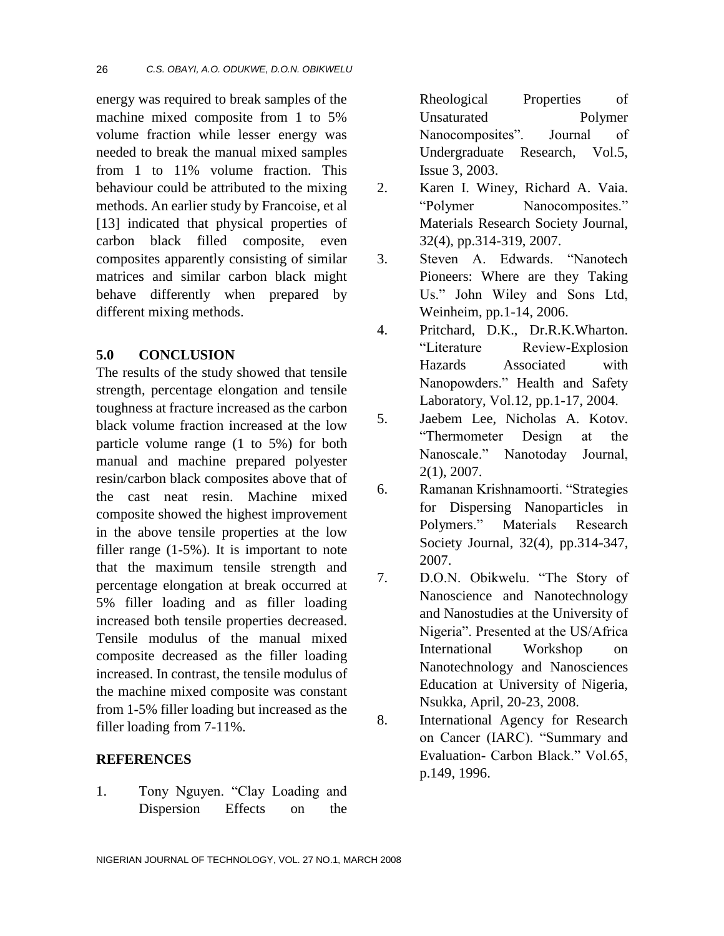energy was required to break samples of the machine mixed composite from 1 to 5% volume fraction while lesser energy was needed to break the manual mixed samples from 1 to 11% volume fraction. This behaviour could be attributed to the mixing methods. An earlier study by Francoise, et al [13] indicated that physical properties of carbon black filled composite, even composites apparently consisting of similar matrices and similar carbon black might behave differently when prepared by different mixing methods.

### **5.0 CONCLUSION**

The results of the study showed that tensile strength, percentage elongation and tensile toughness at fracture increased as the carbon black volume fraction increased at the low particle volume range (1 to 5%) for both manual and machine prepared polyester resin/carbon black composites above that of the cast neat resin. Machine mixed composite showed the highest improvement in the above tensile properties at the low filler range (1-5%). It is important to note that the maximum tensile strength and percentage elongation at break occurred at 5% filler loading and as filler loading increased both tensile properties decreased. Tensile modulus of the manual mixed composite decreased as the filler loading increased. In contrast, the tensile modulus of the machine mixed composite was constant from 1-5% filler loading but increased as the filler loading from 7-11%.

### **REFERENCES**

1. Tony Nguyen. "Clay Loading and Dispersion Effects on the

Rheological Properties of Unsaturated Polymer Nanocomposites". Journal of Undergraduate Research, Vol.5, Issue 3, 2003.

- 2. Karen I. Winey, Richard A. Vaia. "Polymer Nanocomposites." Materials Research Society Journal, 32(4), pp.314-319, 2007.
- 3. Steven A. Edwards. "Nanotech Pioneers: Where are they Taking Us." John Wiley and Sons Ltd, Weinheim, pp.1-14, 2006.
- 4. Pritchard, D.K., Dr.R.K.Wharton. "Literature Review-Explosion Hazards Associated with Nanopowders." Health and Safety Laboratory, Vol.12, pp.1-17, 2004.
- 5. Jaebem Lee, Nicholas A. Kotov. "Thermometer Design at the Nanoscale." Nanotoday Journal, 2(1), 2007.
- 6. Ramanan Krishnamoorti. "Strategies for Dispersing Nanoparticles in Polymers." Materials Research Society Journal, 32(4), pp.314-347, 2007.
- 7. D.O.N. Obikwelu. "The Story of Nanoscience and Nanotechnology and Nanostudies at the University of Nigeria". Presented at the US/Africa International Workshop on Nanotechnology and Nanosciences Education at University of Nigeria, Nsukka, April, 20-23, 2008.
- 8. International Agency for Research on Cancer (IARC). "Summary and Evaluation- Carbon Black." Vol.65, p.149, 1996.